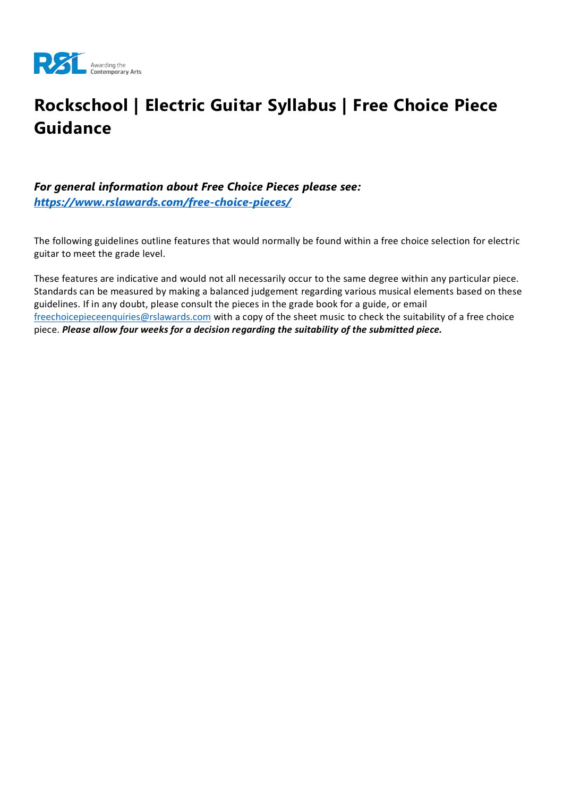

# **Rockschool | Electric Guitar Syllabus | Free Choice Piece Guidance**

### *For general information about Free Choice Pieces please see: <https://www.rslawards.com/free-choice-pieces/>*

The following guidelines outline features that would normally be found within a free choice selection for electric guitar to meet the grade level.

These features are indicative and would not all necessarily occur to the same degree within any particular piece. Standards can be measured by making a balanced judgement regarding various musical elements based on these guidelines. If in any doubt, please consult the pieces in the grade book for a guide, or email [freechoicepieceenquiries@rslawards.com](mailto:freechoicepieceenquiries@rslawards.com) with a copy of the sheet music to check the suitability of a free choice piece. *Please allow four weeks for a decision regarding the suitability of the submitted piece.*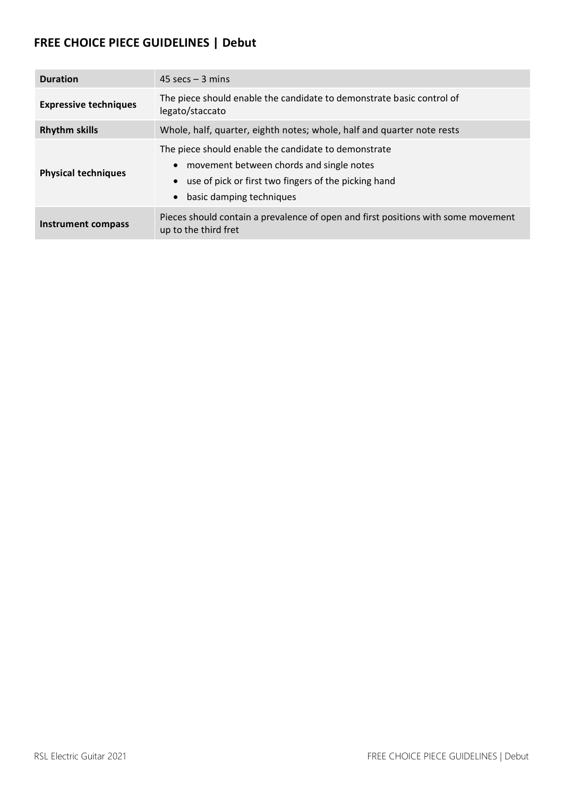## **FREE CHOICE PIECE GUIDELINES | Debut**

| <b>Duration</b>              | $45 \text{ secs} - 3 \text{ mins}$                                                                                                                                                   |
|------------------------------|--------------------------------------------------------------------------------------------------------------------------------------------------------------------------------------|
|                              |                                                                                                                                                                                      |
| <b>Expressive techniques</b> | The piece should enable the candidate to demonstrate basic control of<br>legato/staccato                                                                                             |
| <b>Rhythm skills</b>         | Whole, half, quarter, eighth notes; whole, half and quarter note rests                                                                                                               |
| <b>Physical techniques</b>   | The piece should enable the candidate to demonstrate<br>movement between chords and single notes<br>use of pick or first two fingers of the picking hand<br>basic damping techniques |
| Instrument compass           | Pieces should contain a prevalence of open and first positions with some movement<br>up to the third fret                                                                            |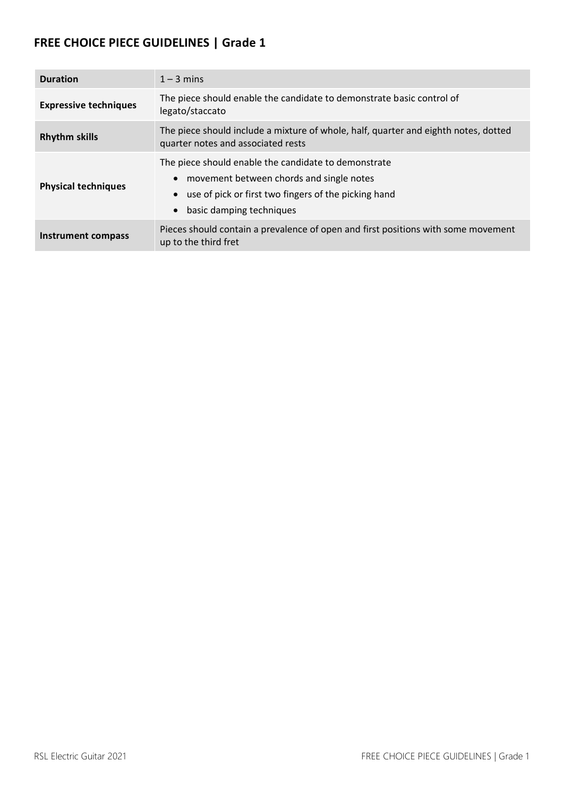| <b>Duration</b>              | $1 - 3$ mins                                                                                                                                                                         |
|------------------------------|--------------------------------------------------------------------------------------------------------------------------------------------------------------------------------------|
| <b>Expressive techniques</b> | The piece should enable the candidate to demonstrate basic control of<br>legato/staccato                                                                                             |
| <b>Rhythm skills</b>         | The piece should include a mixture of whole, half, quarter and eighth notes, dotted<br>quarter notes and associated rests                                                            |
| <b>Physical techniques</b>   | The piece should enable the candidate to demonstrate<br>movement between chords and single notes<br>use of pick or first two fingers of the picking hand<br>basic damping techniques |
| Instrument compass           | Pieces should contain a prevalence of open and first positions with some movement<br>up to the third fret                                                                            |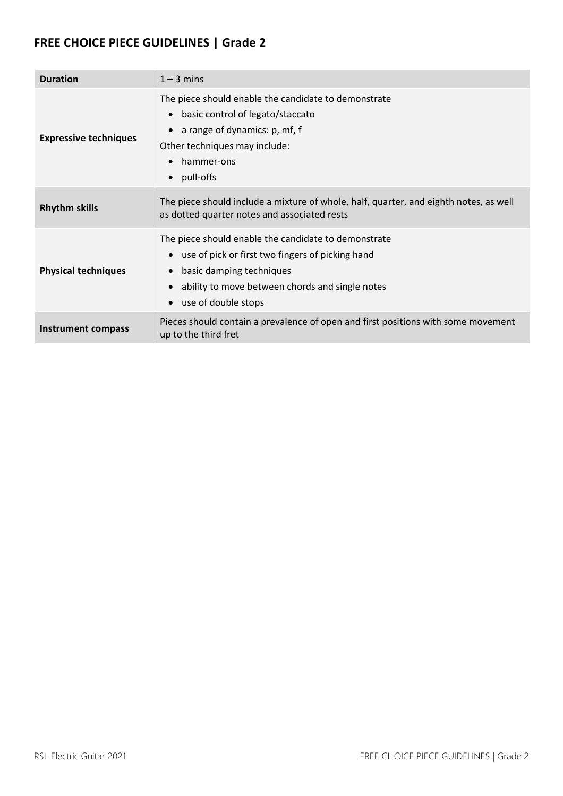| <b>Duration</b>              | $1 - 3$ mins                                                                                                                                                                                                    |
|------------------------------|-----------------------------------------------------------------------------------------------------------------------------------------------------------------------------------------------------------------|
| <b>Expressive techniques</b> | The piece should enable the candidate to demonstrate<br>basic control of legato/staccato<br>$\bullet$<br>a range of dynamics: p, mf, f<br>Other techniques may include:<br>hammer-ons<br>pull-offs<br>$\bullet$ |
| <b>Rhythm skills</b>         | The piece should include a mixture of whole, half, quarter, and eighth notes, as well<br>as dotted quarter notes and associated rests                                                                           |
| <b>Physical techniques</b>   | The piece should enable the candidate to demonstrate<br>use of pick or first two fingers of picking hand<br>basic damping techniques<br>ability to move between chords and single notes<br>use of double stops  |
| Instrument compass           | Pieces should contain a prevalence of open and first positions with some movement<br>up to the third fret                                                                                                       |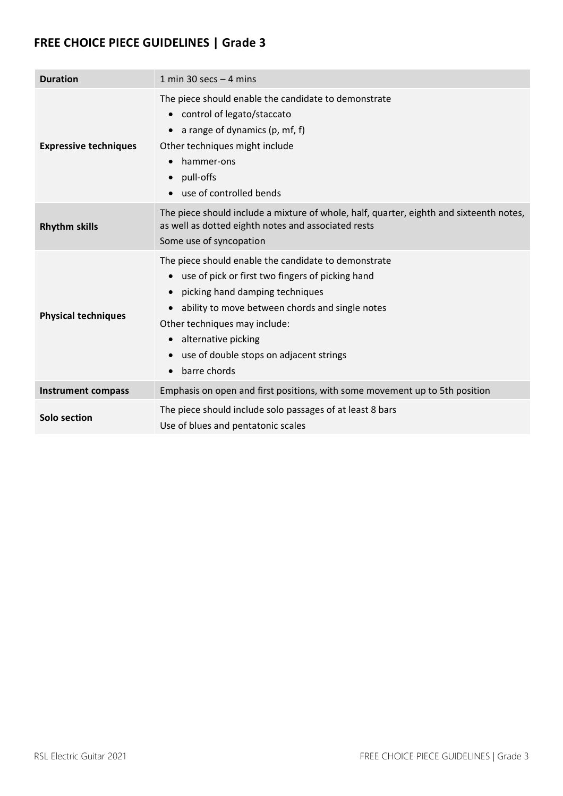| <b>Duration</b>              | 1 min 30 secs $-$ 4 mins                                                                                                                                                                                                                                                                                                                                                           |
|------------------------------|------------------------------------------------------------------------------------------------------------------------------------------------------------------------------------------------------------------------------------------------------------------------------------------------------------------------------------------------------------------------------------|
| <b>Expressive techniques</b> | The piece should enable the candidate to demonstrate<br>control of legato/staccato<br>$\bullet$<br>a range of dynamics (p, mf, f)<br>$\bullet$<br>Other techniques might include<br>hammer-ons<br>pull-offs<br>$\bullet$<br>use of controlled bends<br>$\bullet$                                                                                                                   |
| <b>Rhythm skills</b>         | The piece should include a mixture of whole, half, quarter, eighth and sixteenth notes,<br>as well as dotted eighth notes and associated rests<br>Some use of syncopation                                                                                                                                                                                                          |
| <b>Physical techniques</b>   | The piece should enable the candidate to demonstrate<br>use of pick or first two fingers of picking hand<br>$\bullet$<br>picking hand damping techniques<br>ability to move between chords and single notes<br>$\bullet$<br>Other techniques may include:<br>alternative picking<br>$\bullet$<br>use of double stops on adjacent strings<br>$\bullet$<br>barre chords<br>$\bullet$ |
| <b>Instrument compass</b>    | Emphasis on open and first positions, with some movement up to 5th position                                                                                                                                                                                                                                                                                                        |
| Solo section                 | The piece should include solo passages of at least 8 bars<br>Use of blues and pentatonic scales                                                                                                                                                                                                                                                                                    |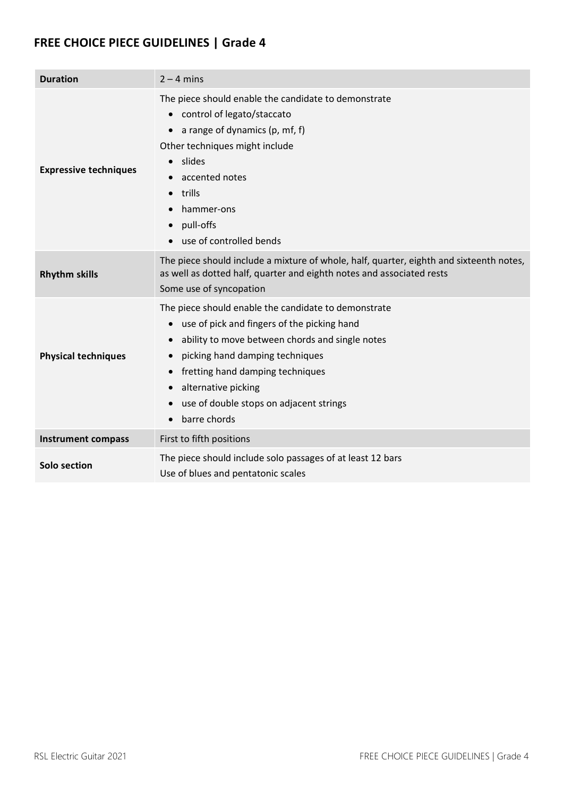| <b>Duration</b>              | $2 - 4$ mins                                                                                                                                                                                                                                                                                                                                                        |
|------------------------------|---------------------------------------------------------------------------------------------------------------------------------------------------------------------------------------------------------------------------------------------------------------------------------------------------------------------------------------------------------------------|
| <b>Expressive techniques</b> | The piece should enable the candidate to demonstrate<br>control of legato/staccato<br>$\bullet$<br>a range of dynamics (p, mf, f)<br>$\bullet$<br>Other techniques might include<br>slides<br>$\bullet$<br>accented notes<br>trills<br>$\bullet$<br>hammer-ons<br>pull-offs<br>use of controlled bends                                                              |
| <b>Rhythm skills</b>         | The piece should include a mixture of whole, half, quarter, eighth and sixteenth notes,<br>as well as dotted half, quarter and eighth notes and associated rests<br>Some use of syncopation                                                                                                                                                                         |
| <b>Physical techniques</b>   | The piece should enable the candidate to demonstrate<br>use of pick and fingers of the picking hand<br>$\bullet$<br>ability to move between chords and single notes<br>picking hand damping techniques<br>fretting hand damping techniques<br>alternative picking<br>$\bullet$<br>use of double stops on adjacent strings<br>$\bullet$<br>barre chords<br>$\bullet$ |
| <b>Instrument compass</b>    | First to fifth positions                                                                                                                                                                                                                                                                                                                                            |
| Solo section                 | The piece should include solo passages of at least 12 bars<br>Use of blues and pentatonic scales                                                                                                                                                                                                                                                                    |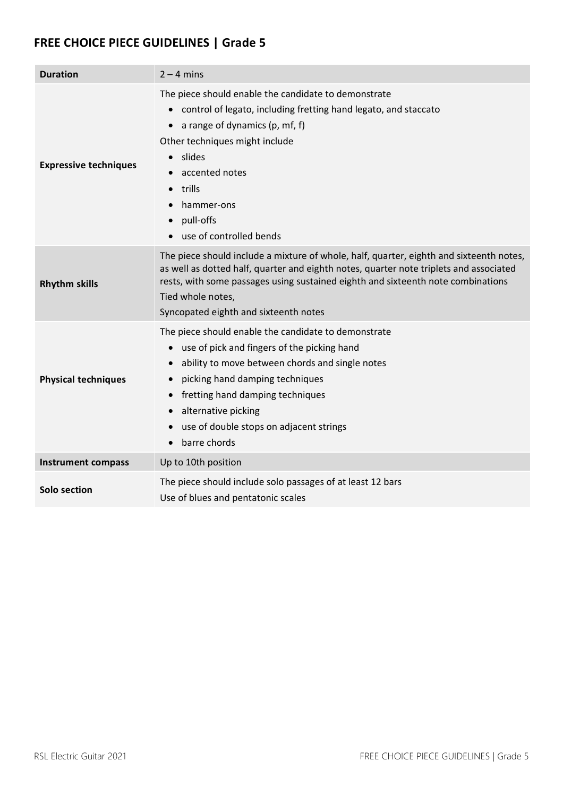| <b>Duration</b>              | $2 - 4$ mins                                                                                                                                                                                                                                                                                                                              |
|------------------------------|-------------------------------------------------------------------------------------------------------------------------------------------------------------------------------------------------------------------------------------------------------------------------------------------------------------------------------------------|
| <b>Expressive techniques</b> | The piece should enable the candidate to demonstrate<br>• control of legato, including fretting hand legato, and staccato<br>a range of dynamics (p, mf, f)<br>Other techniques might include<br>slides<br>accented notes<br>trills<br>hammer-ons<br>pull-offs<br>$\bullet$<br>use of controlled bends                                    |
| <b>Rhythm skills</b>         | The piece should include a mixture of whole, half, quarter, eighth and sixteenth notes,<br>as well as dotted half, quarter and eighth notes, quarter note triplets and associated<br>rests, with some passages using sustained eighth and sixteenth note combinations<br>Tied whole notes,<br>Syncopated eighth and sixteenth notes       |
| <b>Physical techniques</b>   | The piece should enable the candidate to demonstrate<br>use of pick and fingers of the picking hand<br>ability to move between chords and single notes<br>picking hand damping techniques<br>fretting hand damping techniques<br>alternative picking<br>use of double stops on adjacent strings<br>$\bullet$<br>barre chords<br>$\bullet$ |
| <b>Instrument compass</b>    | Up to 10th position                                                                                                                                                                                                                                                                                                                       |
| Solo section                 | The piece should include solo passages of at least 12 bars<br>Use of blues and pentatonic scales                                                                                                                                                                                                                                          |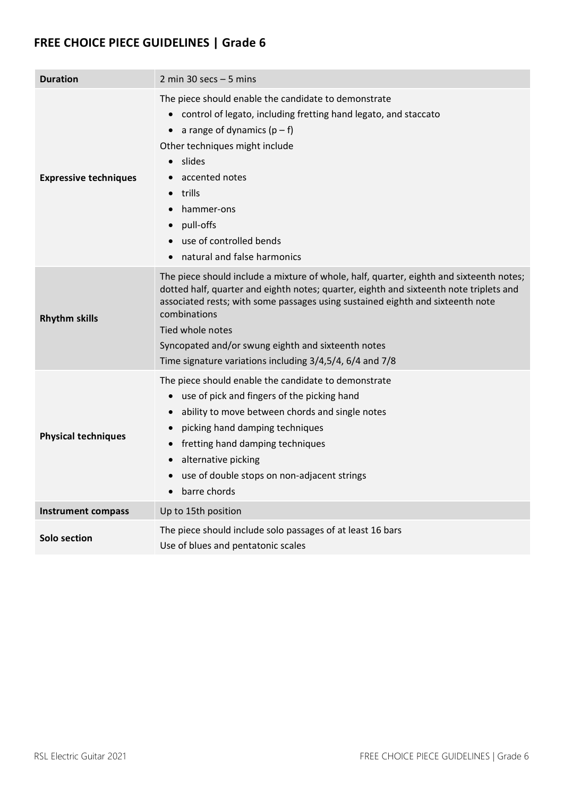| <b>Duration</b>              | 2 min 30 secs $-5$ mins                                                                                                                                                                                                                                                                                                                                                                                                   |
|------------------------------|---------------------------------------------------------------------------------------------------------------------------------------------------------------------------------------------------------------------------------------------------------------------------------------------------------------------------------------------------------------------------------------------------------------------------|
| <b>Expressive techniques</b> | The piece should enable the candidate to demonstrate<br>control of legato, including fretting hand legato, and staccato<br>a range of dynamics $(p - f)$<br>$\bullet$<br>Other techniques might include<br>slides<br>$\bullet$<br>accented notes<br>trills<br>hammer-ons<br>pull-offs<br>use of controlled bends<br>natural and false harmonics                                                                           |
| <b>Rhythm skills</b>         | The piece should include a mixture of whole, half, quarter, eighth and sixteenth notes;<br>dotted half, quarter and eighth notes; quarter, eighth and sixteenth note triplets and<br>associated rests; with some passages using sustained eighth and sixteenth note<br>combinations<br>Tied whole notes<br>Syncopated and/or swung eighth and sixteenth notes<br>Time signature variations including 3/4,5/4, 6/4 and 7/8 |
| <b>Physical techniques</b>   | The piece should enable the candidate to demonstrate<br>use of pick and fingers of the picking hand<br>$\bullet$<br>ability to move between chords and single notes<br>picking hand damping techniques<br>$\bullet$<br>fretting hand damping techniques<br>alternative picking<br>$\bullet$<br>use of double stops on non-adjacent strings<br>barre chords<br>$\bullet$                                                   |
| <b>Instrument compass</b>    | Up to 15th position                                                                                                                                                                                                                                                                                                                                                                                                       |
| Solo section                 | The piece should include solo passages of at least 16 bars<br>Use of blues and pentatonic scales                                                                                                                                                                                                                                                                                                                          |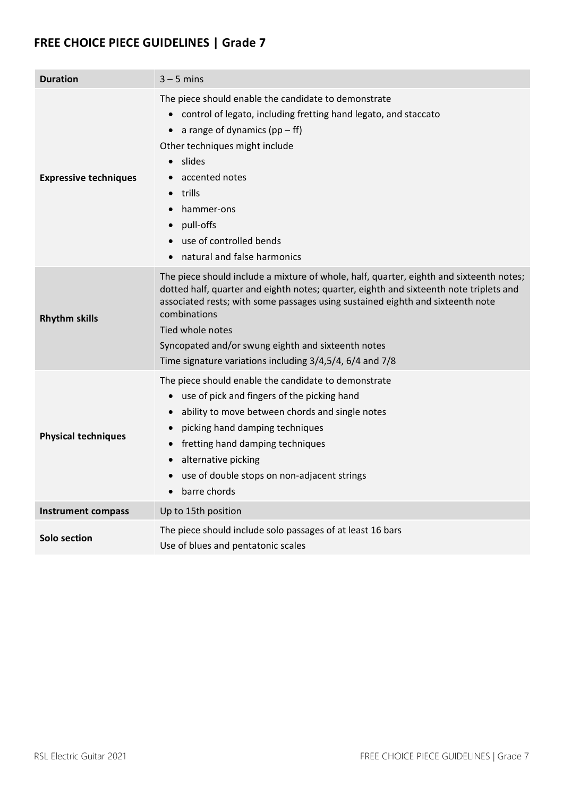| <b>Duration</b>              | $3 - 5$ mins                                                                                                                                                                                                                                                                                                                                                                                                              |
|------------------------------|---------------------------------------------------------------------------------------------------------------------------------------------------------------------------------------------------------------------------------------------------------------------------------------------------------------------------------------------------------------------------------------------------------------------------|
| <b>Expressive techniques</b> | The piece should enable the candidate to demonstrate<br>control of legato, including fretting hand legato, and staccato<br>$\bullet$<br>a range of dynamics $(pp - ff)$<br>$\bullet$<br>Other techniques might include<br>slides<br>$\bullet$<br>accented notes<br>trills<br>hammer-ons<br>pull-offs<br>$\bullet$<br>use of controlled bends<br>natural and false harmonics                                               |
| <b>Rhythm skills</b>         | The piece should include a mixture of whole, half, quarter, eighth and sixteenth notes;<br>dotted half, quarter and eighth notes; quarter, eighth and sixteenth note triplets and<br>associated rests; with some passages using sustained eighth and sixteenth note<br>combinations<br>Tied whole notes<br>Syncopated and/or swung eighth and sixteenth notes<br>Time signature variations including 3/4,5/4, 6/4 and 7/8 |
| <b>Physical techniques</b>   | The piece should enable the candidate to demonstrate<br>use of pick and fingers of the picking hand<br>$\bullet$<br>ability to move between chords and single notes<br>picking hand damping techniques<br>$\bullet$<br>fretting hand damping techniques<br>$\bullet$<br>alternative picking<br>$\bullet$<br>use of double stops on non-adjacent strings<br>barre chords<br>$\bullet$                                      |
| <b>Instrument compass</b>    | Up to 15th position                                                                                                                                                                                                                                                                                                                                                                                                       |
| Solo section                 | The piece should include solo passages of at least 16 bars<br>Use of blues and pentatonic scales                                                                                                                                                                                                                                                                                                                          |